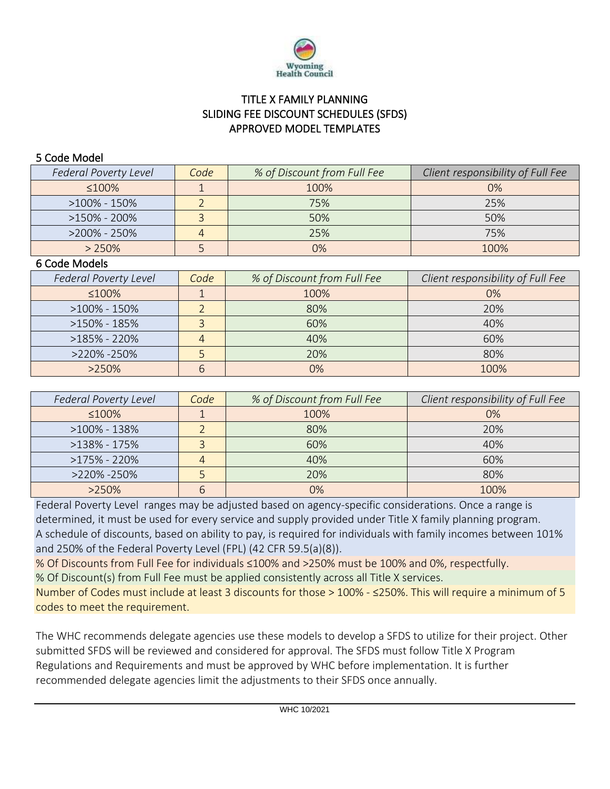

## TITLE X FAMILY PLANNING SLIDING FEE DISCOUNT SCHEDULES (SFDS) APPROVED MODEL TEMPLATES

## 5 Code Model

| <b>Federal Poverty Level</b> | Code | % of Discount from Full Fee | Client responsibility of Full Fee |  |  |
|------------------------------|------|-----------------------------|-----------------------------------|--|--|
| ≤100%                        |      | 100%                        | $0\%$                             |  |  |
| $>100\%$ - 150%              |      | 75%                         | 25%                               |  |  |
| $>150\%$ - 200%              |      | 50%                         | 50%                               |  |  |
| $>200\% - 250\%$             |      | 25%                         | 75%                               |  |  |
| $> 250\%$                    |      | 0%                          | 100%                              |  |  |

## 6 Code Models

| <b>Federal Poverty Level</b> | Code | % of Discount from Full Fee | Client responsibility of Full Fee |  |  |
|------------------------------|------|-----------------------------|-----------------------------------|--|--|
| $\leq 100\%$                 |      | 100%                        | $0\%$                             |  |  |
| $>100\% - 150\%$             |      | 80%                         | 20%                               |  |  |
| $>150\% - 185\%$             |      | 60%                         | 40%                               |  |  |
| $>185\% - 220\%$             |      | 40%                         | 60%                               |  |  |
| >220% -250%                  |      | 20%                         | 80%                               |  |  |
| $>250\%$                     |      | 0%                          | 100%                              |  |  |

| <b>Federal Poverty Level</b> | Code | % of Discount from Full Fee | Client responsibility of Full Fee |  |  |
|------------------------------|------|-----------------------------|-----------------------------------|--|--|
| ≤100%                        |      | 100%                        | 0%                                |  |  |
| $>100\% - 138\%$             |      | 80%                         | 20%                               |  |  |
| $>138\% - 175\%$             |      | 60%                         | 40%                               |  |  |
| $>175\%$ - 220%              |      | 40%                         | 60%                               |  |  |
| >220% -250%                  |      | 20%                         | 80%                               |  |  |
| $>250\%$                     | ь    | 0%                          | 100%                              |  |  |

Federal Poverty Level ranges may be adjusted based on agency-specific considerations. Once a range is determined, it must be used for every service and supply provided under Title X family planning program. A schedule of discounts, based on ability to pay, is required for individuals with family incomes between 101% and 250% of the Federal Poverty Level (FPL) (42 CFR 59.5(a)(8)).

% Of Discounts from Full Fee for individuals ≤100% and >250% must be 100% and 0%, respectfully. % Of Discount(s) from Full Fee must be applied consistently across all Title X services.

Number of Codes must include at least 3 discounts for those > 100% - ≤250%. This will require a minimum of 5 codes to meet the requirement.

The WHC recommends delegate agencies use these models to develop a SFDS to utilize for their project. Other submitted SFDS will be reviewed and considered for approval. The SFDS must follow Title X Program Regulations and Requirements and must be approved by WHC before implementation. It is further recommended delegate agencies limit the adjustments to their SFDS once annually.